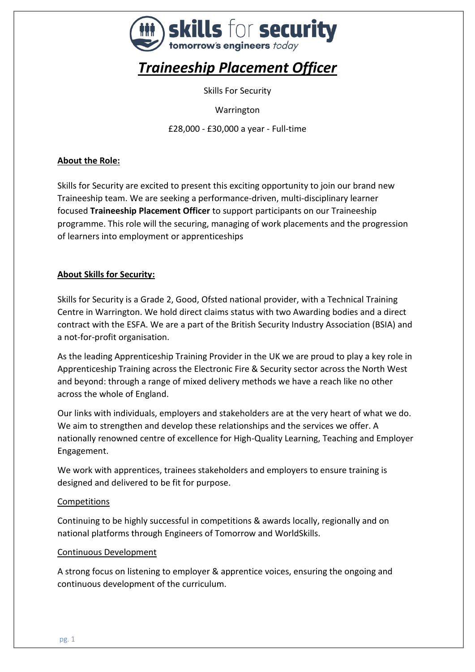

# *Traineeship Placement Officer*

Skills For Security

**Warrington** 

£28,000 - £30,000 a year - Full-time

# **About the Role:**

Skills for Security are excited to present this exciting opportunity to join our brand new Traineeship team. We are seeking a performance-driven, multi-disciplinary learner focused **Traineeship Placement Officer** to support participants on our Traineeship programme. This role will the securing, managing of work placements and the progression of learners into employment or apprenticeships

## **About Skills for Security:**

Skills for Security is a Grade 2, Good, Ofsted national provider, with a Technical Training Centre in Warrington. We hold direct claims status with two Awarding bodies and a direct contract with the ESFA. We are a part of the British Security Industry Association (BSIA) and a not-for-profit organisation.

As the leading Apprenticeship Training Provider in the UK we are proud to play a key role in Apprenticeship Training across the Electronic Fire & Security sector across the North West and beyond: through a range of mixed delivery methods we have a reach like no other across the whole of England.

Our links with individuals, employers and stakeholders are at the very heart of what we do. We aim to strengthen and develop these relationships and the services we offer. A nationally renowned centre of excellence for High-Quality Learning, Teaching and Employer Engagement.

We work with apprentices, trainees stakeholders and employers to ensure training is designed and delivered to be fit for purpose.

#### Competitions

Continuing to be highly successful in competitions & awards locally, regionally and on national platforms through Engineers of Tomorrow and WorldSkills.

#### Continuous Development

A strong focus on listening to employer & apprentice voices, ensuring the ongoing and continuous development of the curriculum.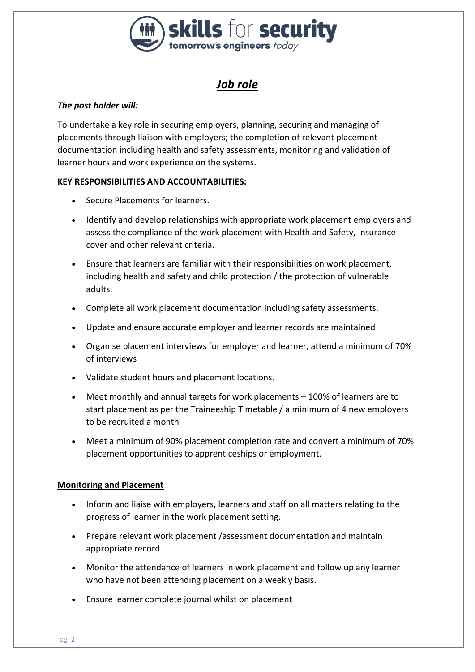

# *Job role*

# *The post holder will:*

To undertake a key role in securing employers, planning, securing and managing of placements through liaison with employers; the completion of relevant placement documentation including health and safety assessments, monitoring and validation of learner hours and work experience on the systems.

## **KEY RESPONSIBILITIES AND ACCOUNTABILITIES:**

- Secure Placements for learners.
- Identify and develop relationships with appropriate work placement employers and assess the compliance of the work placement with Health and Safety, Insurance cover and other relevant criteria.
- Ensure that learners are familiar with their responsibilities on work placement, including health and safety and child protection / the protection of vulnerable adults.
- Complete all work placement documentation including safety assessments.
- Update and ensure accurate employer and learner records are maintained
- Organise placement interviews for employer and learner, attend a minimum of 70% of interviews
- Validate student hours and placement locations.
- Meet monthly and annual targets for work placements 100% of learners are to start placement as per the Traineeship Timetable / a minimum of 4 new employers to be recruited a month
- Meet a minimum of 90% placement completion rate and convert a minimum of 70% placement opportunities to apprenticeships or employment.

## **Monitoring and Placement**

- Inform and liaise with employers, learners and staff on all matters relating to the progress of learner in the work placement setting.
- Prepare relevant work placement /assessment documentation and maintain appropriate record
- Monitor the attendance of learners in work placement and follow up any learner who have not been attending placement on a weekly basis.
- Ensure learner complete journal whilst on placement